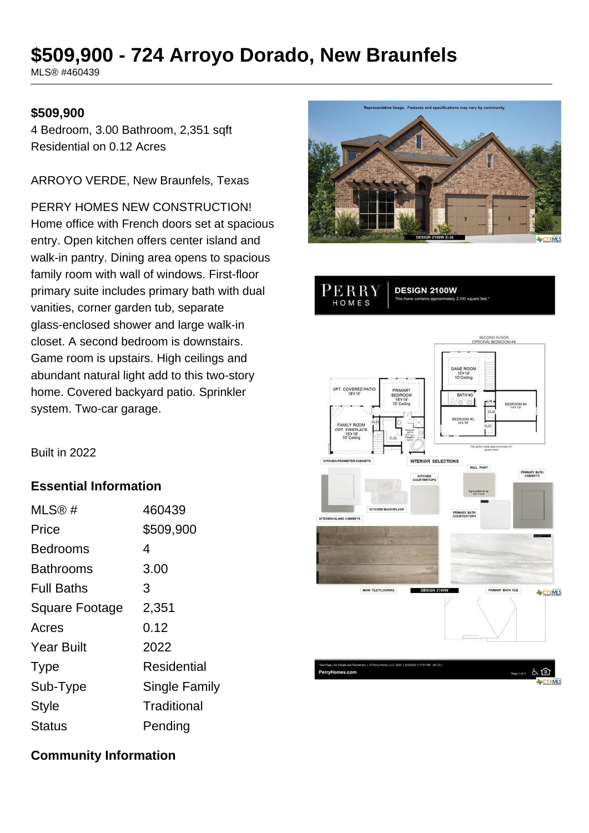# **\$509,900 - 724 Arroyo Dorado, New Braunfels**

MLS® #460439

### **\$509,900**

4 Bedroom, 3.00 Bathroom, 2,351 sqft Residential on 0.12 Acres

ARROYO VERDE, New Braunfels, Texas

PERRY HOMES NEW CONSTRUCTION! Home office with French doors set at spacious entry. Open kitchen offers center island and walk-in pantry. Dining area opens to spacious family room with wall of windows. First-floor primary suite includes primary bath with dual vanities, corner garden tub, separate glass-enclosed shower and large walk-in closet. A second bedroom is downstairs. Game room is upstairs. High ceilings and abundant natural light add to this two-story home. Covered backyard patio. Sprinkler system. Two-car garage.





Built in 2022

### **Essential Information**

| MLS@#                 | 460439        |
|-----------------------|---------------|
| Price                 | \$509,900     |
| Bedrooms              | 4             |
| Bathrooms             | 3.00          |
| <b>Full Baths</b>     | 3             |
| <b>Square Footage</b> | 2,351         |
| Acres                 | 0.12          |
| <b>Year Built</b>     | 2022          |
| <b>Type</b>           | Residential   |
| Sub-Type              | Single Family |
| <b>Style</b>          | Traditional   |
| Status                | Pending       |

### **Community Information**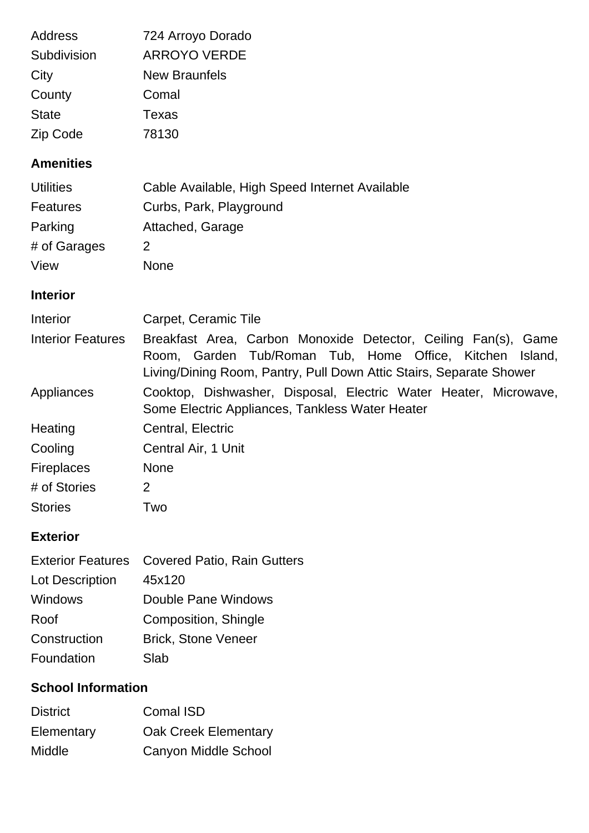| Address                  | 724 Arroyo Dorado                                                                                                                                                                                    |
|--------------------------|------------------------------------------------------------------------------------------------------------------------------------------------------------------------------------------------------|
| Subdivision              | <b>ARROYO VERDE</b>                                                                                                                                                                                  |
| City                     | <b>New Braunfels</b>                                                                                                                                                                                 |
| County                   | Comal                                                                                                                                                                                                |
| <b>State</b>             | <b>Texas</b>                                                                                                                                                                                         |
| Zip Code                 | 78130                                                                                                                                                                                                |
| <b>Amenities</b>         |                                                                                                                                                                                                      |
| <b>Utilities</b>         | Cable Available, High Speed Internet Available                                                                                                                                                       |
| <b>Features</b>          | Curbs, Park, Playground                                                                                                                                                                              |
| Parking                  | Attached, Garage                                                                                                                                                                                     |
| # of Garages             | 2                                                                                                                                                                                                    |
| View                     | <b>None</b>                                                                                                                                                                                          |
| <b>Interior</b>          |                                                                                                                                                                                                      |
| Interior                 | Carpet, Ceramic Tile                                                                                                                                                                                 |
| <b>Interior Features</b> | Breakfast Area, Carbon Monoxide Detector, Ceiling Fan(s), Game<br>Room, Garden Tub/Roman Tub, Home Office, Kitchen<br>Island,<br>Living/Dining Room, Pantry, Pull Down Attic Stairs, Separate Shower |
| Appliances               | Cooktop, Dishwasher, Disposal, Electric Water Heater, Microwave,<br>Some Electric Appliances, Tankless Water Heater                                                                                  |
| Heating                  | Central, Electric                                                                                                                                                                                    |
| Cooling                  | Central Air, 1 Unit                                                                                                                                                                                  |
| Fireplaces               | None                                                                                                                                                                                                 |
| # of Stories             | $\overline{2}$                                                                                                                                                                                       |
| <b>Stories</b>           | Two                                                                                                                                                                                                  |
| <b>Exterior</b>          |                                                                                                                                                                                                      |

# Exterior Features Covered Patio, Rain Gutters Lot Description 45x120 Windows Double Pane Windows Roof Composition, Shingle Construction Brick, Stone Veneer Foundation Slab

## **School Information**

| <b>District</b> | Comal ISD                   |
|-----------------|-----------------------------|
| Elementary      | <b>Oak Creek Elementary</b> |
| Middle          | Canyon Middle School        |